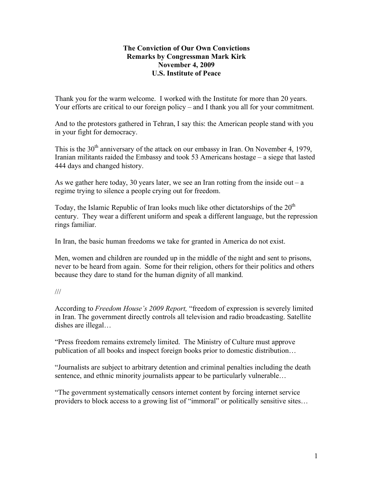## **The Conviction of Our Own Convictions Remarks by Congressman Mark Kirk November 4, 2009 U.S. Institute of Peace**

Thank you for the warm welcome. I worked with the Institute for more than 20 years. Your efforts are critical to our foreign policy – and I thank you all for your commitment.

And to the protestors gathered in Tehran, I say this: the American people stand with you in your fight for democracy.

This is the  $30<sup>th</sup>$  anniversary of the attack on our embassy in Iran. On November 4, 1979, Iranian militants raided the Embassy and took 53 Americans hostage – a siege that lasted 444 days and changed history.

As we gather here today, 30 years later, we see an Iran rotting from the inside out – a regime trying to silence a people crying out for freedom.

Today, the Islamic Republic of Iran looks much like other dictatorships of the  $20<sup>th</sup>$ century. They wear a different uniform and speak a different language, but the repression rings familiar.

In Iran, the basic human freedoms we take for granted in America do not exist.

Men, women and children are rounded up in the middle of the night and sent to prisons, never to be heard from again. Some for their religion, others for their politics and others because they dare to stand for the human dignity of all mankind.

## ///

According to *Freedom House's 2009 Report,* "freedom of expression is severely limited in Iran. The government directly controls all television and radio broadcasting. Satellite dishes are illegal…

"Press freedom remains extremely limited. The Ministry of Culture must approve publication of all books and inspect foreign books prior to domestic distribution…

"Journalists are subject to arbitrary detention and criminal penalties including the death sentence, and ethnic minority journalists appear to be particularly vulnerable...

"The government systematically censors internet content by forcing internet service providers to block access to a growing list of "immoral" or politically sensitive sites…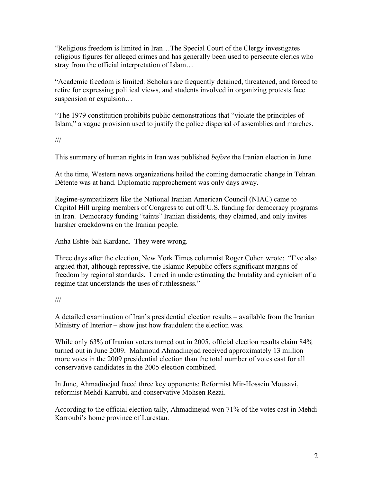"Religious freedom is limited in Iran…The Special Court of the Clergy investigates religious figures for alleged crimes and has generally been used to persecute clerics who stray from the official interpretation of Islam…

"Academic freedom is limited. Scholars are frequently detained, threatened, and forced to retire for expressing political views, and students involved in organizing protests face suspension or expulsion…

"The 1979 constitution prohibits public demonstrations that "violate the principles of Islam," a vague provision used to justify the police dispersal of assemblies and marches.

///

This summary of human rights in Iran was published *before* the Iranian election in June.

At the time, Western news organizations hailed the coming democratic change in Tehran. Détente was at hand. Diplomatic rapprochement was only days away.

Regime-sympathizers like the National Iranian American Council (NIAC) came to Capitol Hill urging members of Congress to cut off U.S. funding for democracy programs in Iran. Democracy funding "taints" Iranian dissidents, they claimed, and only invites harsher crackdowns on the Iranian people.

Anha Eshte-bah Kardand*.* They were wrong.

Three days after the election, New York Times columnist Roger Cohen wrote: "I've also argued that, although repressive, the Islamic Republic offers significant margins of freedom by regional standards. I erred in underestimating the brutality and cynicism of a regime that understands the uses of ruthlessness."

///

A detailed examination of Iran's presidential election results – available from the Iranian Ministry of Interior – show just how fraudulent the election was.

While only 63% of Iranian voters turned out in 2005, official election results claim 84% turned out in June 2009. Mahmoud Ahmadinejad received approximately 13 million more votes in the 2009 presidential election than the total number of votes cast for all conservative candidates in the 2005 election combined.

In June, Ahmadinejad faced three key opponents: Reformist Mir-Hossein Mousavi, reformist Mehdi Karrubi, and conservative Mohsen Rezai.

According to the official election tally, Ahmadinejad won 71% of the votes cast in Mehdi Karroubi's home province of Lurestan.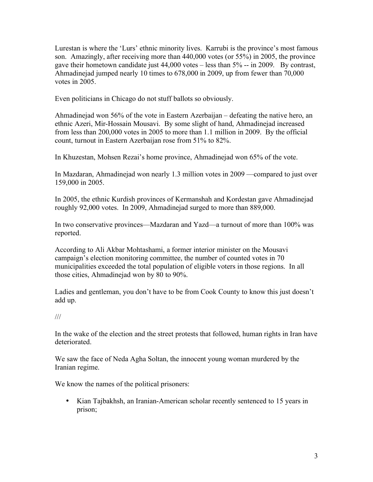Lurestan is where the 'Lurs' ethnic minority lives. Karrubi is the province's most famous son. Amazingly, after receiving more than 440,000 votes (or 55%) in 2005, the province gave their hometown candidate just 44,000 votes – less than 5% -- in 2009. By contrast, Ahmadinejad jumped nearly 10 times to 678,000 in 2009, up from fewer than 70,000 votes in 2005.

Even politicians in Chicago do not stuff ballots so obviously.

Ahmadinejad won 56% of the vote in Eastern Azerbaijan – defeating the native hero, an ethnic Azeri, Mir-Hossain Mousavi. By some slight of hand, Ahmadinejad increased from less than 200,000 votes in 2005 to more than 1.1 million in 2009. By the official count, turnout in Eastern Azerbaijan rose from 51% to 82%.

In Khuzestan, Mohsen Rezai's home province, Ahmadinejad won 65% of the vote.

In Mazdaran, Ahmadinejad won nearly 1.3 million votes in 2009 —compared to just over 159,000 in 2005.

In 2005, the ethnic Kurdish provinces of Kermanshah and Kordestan gave Ahmadinejad roughly 92,000 votes. In 2009, Ahmadinejad surged to more than 889,000.

In two conservative provinces—Mazdaran and Yazd—a turnout of more than 100% was reported.

According to Ali Akbar Mohtashami, a former interior minister on the Mousavi campaign's election monitoring committee, the number of counted votes in 70 municipalities exceeded the total population of eligible voters in those regions. In all those cities, Ahmadinejad won by 80 to 90%.

Ladies and gentleman, you don't have to be from Cook County to know this just doesn't add up.

## ///

In the wake of the election and the street protests that followed, human rights in Iran have deteriorated.

We saw the face of Neda Agha Soltan, the innocent young woman murdered by the Iranian regime.

We know the names of the political prisoners:

• Kian Tajbakhsh, an Iranian-American scholar recently sentenced to 15 years in prison;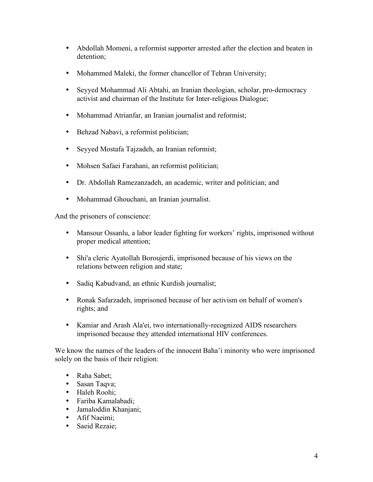- Abdollah Momeni, a reformist supporter arrested after the election and beaten in detention;
- Mohammed Maleki, the former chancellor of Tehran University;
- Seyyed Mohammad Ali Abtahi, an Iranian theologian, scholar, pro-democracy activist and chairman of the Institute for Inter-religious Dialogue;
- Mohammad Atrianfar, an Iranian journalist and reformist;
- Behzad Nabavi, a reformist politician;
- Seyyed Mostafa Tajzadeh, an Iranian reformist;
- Mohsen Safaei Farahani, an reformist politician;
- Dr. Abdollah Ramezanzadeh, an academic, writer and politician; and
- Mohammad Ghouchani, an Iranian journalist.

And the prisoners of conscience:

- Mansour Ossanlu, a labor leader fighting for workers' rights, imprisoned without proper medical attention;
- Shi'a cleric Ayatollah Boroujerdi, imprisoned because of his views on the relations between religion and state;
- Sadiq Kabudvand, an ethnic Kurdish journalist;
- Ronak Safarzadeh, imprisoned because of her activism on behalf of women's rights; and
- Kamiar and Arash Ala'ei, two internationally-recognized AIDS researchers imprisoned because they attended international HIV conferences.

We know the names of the leaders of the innocent Baha'i minority who were imprisoned solely on the basis of their religion:

- Raha Sabet;
- Sasan Taqva;
- Haleh Roohi;
- Fariba Kamalabadi;
- Jamaloddin Khanjani;
- Afif Naeimi;
- Saeid Rezaie;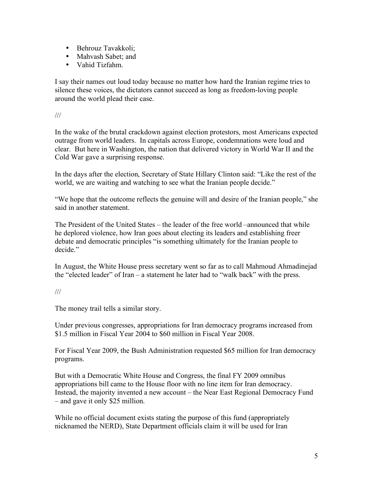- Behrouz Tavakkoli;
- Mahvash Sabet: and
- Vahid Tizfahm.

I say their names out loud today because no matter how hard the Iranian regime tries to silence these voices, the dictators cannot succeed as long as freedom-loving people around the world plead their case.

///

In the wake of the brutal crackdown against election protestors, most Americans expected outrage from world leaders. In capitals across Europe, condemnations were loud and clear. But here in Washington, the nation that delivered victory in World War II and the Cold War gave a surprising response.

In the days after the election, Secretary of State Hillary Clinton said: "Like the rest of the world, we are waiting and watching to see what the Iranian people decide."

"We hope that the outcome reflects the genuine will and desire of the Iranian people," she said in another statement.

The President of the United States – the leader of the free world –announced that while he deplored violence, how Iran goes about electing its leaders and establishing freer debate and democratic principles "is something ultimately for the Iranian people to decide<sup>"</sup>

In August, the White House press secretary went so far as to call Mahmoud Ahmadinejad the "elected leader" of Iran – a statement he later had to "walk back" with the press.

## ///

The money trail tells a similar story.

Under previous congresses, appropriations for Iran democracy programs increased from \$1.5 million in Fiscal Year 2004 to \$60 million in Fiscal Year 2008.

For Fiscal Year 2009, the Bush Administration requested \$65 million for Iran democracy programs.

But with a Democratic White House and Congress, the final FY 2009 omnibus appropriations bill came to the House floor with no line item for Iran democracy. Instead, the majority invented a new account – the Near East Regional Democracy Fund – and gave it only \$25 million.

While no official document exists stating the purpose of this fund (appropriately nicknamed the NERD), State Department officials claim it will be used for Iran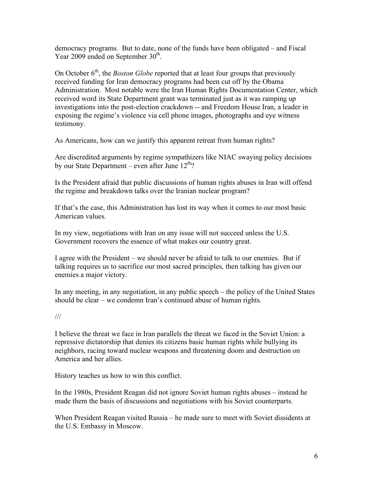democracy programs. But to date, none of the funds have been obligated – and Fiscal Year 2009 ended on September 30<sup>th</sup>.

On October 6<sup>th</sup>, the *Boston Globe* reported that at least four groups that previously received funding for Iran democracy programs had been cut off by the Obama Administration. Most notable were the Iran Human Rights Documentation Center, which received word its State Department grant was terminated just as it was ramping up investigations into the post-election crackdown -- and Freedom House Iran, a leader in exposing the regime's violence via cell phone images, photographs and eye witness testimony.

As Americans, how can we justify this apparent retreat from human rights?

Are discredited arguments by regime sympathizers like NIAC swaying policy decisions by our State Department – even after June  $12<sup>th</sup>$ ?

Is the President afraid that public discussions of human rights abuses in Iran will offend the regime and breakdown talks over the Iranian nuclear program?

If that's the case, this Administration has lost its way when it comes to our most basic American values.

In my view, negotiations with Iran on any issue will not succeed unless the U.S. Government recovers the essence of what makes our country great.

I agree with the President – we should never be afraid to talk to our enemies. But if talking requires us to sacrifice our most sacred principles, then talking has given our enemies a major victory.

In any meeting, in any negotiation, in any public speech – the policy of the United States should be clear – we condemn Iran's continued abuse of human rights.

///

I believe the threat we face in Iran parallels the threat we faced in the Soviet Union: a repressive dictatorship that denies its citizens basic human rights while bullying its neighbors, racing toward nuclear weapons and threatening doom and destruction on America and her allies.

History teaches us how to win this conflict.

In the 1980s, President Reagan did not ignore Soviet human rights abuses – instead he made them the basis of discussions and negotiations with his Soviet counterparts.

When President Reagan visited Russia – he made sure to meet with Soviet dissidents at the U.S. Embassy in Moscow.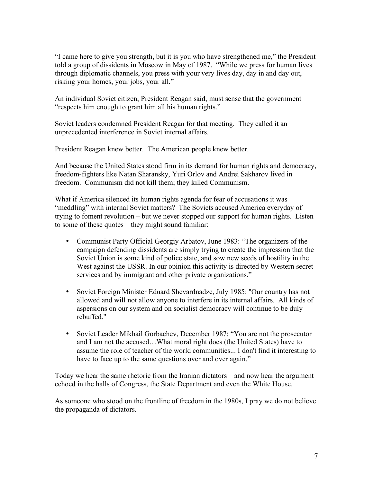"I came here to give you strength, but it is you who have strengthened me," the President told a group of dissidents in Moscow in May of 1987. "While we press for human lives through diplomatic channels, you press with your very lives day, day in and day out, risking your homes, your jobs, your all."

An individual Soviet citizen, President Reagan said, must sense that the government "respects him enough to grant him all his human rights."

Soviet leaders condemned President Reagan for that meeting. They called it an unprecedented interference in Soviet internal affairs.

President Reagan knew better. The American people knew better.

And because the United States stood firm in its demand for human rights and democracy, freedom-fighters like Natan Sharansky, Yuri Orlov and Andrei Sakharov lived in freedom. Communism did not kill them; they killed Communism.

What if America silenced its human rights agenda for fear of accusations it was "meddling" with internal Soviet matters? The Soviets accused America everyday of trying to foment revolution – but we never stopped our support for human rights. Listen to some of these quotes – they might sound familiar:

- Communist Party Official Georgiy Arbatov, June 1983: "The organizers of the campaign defending dissidents are simply trying to create the impression that the Soviet Union is some kind of police state, and sow new seeds of hostility in the West against the USSR. In our opinion this activity is directed by Western secret services and by immigrant and other private organizations."
- Soviet Foreign Minister Eduard Shevardnadze, July 1985: ''Our country has not allowed and will not allow anyone to interfere in its internal affairs. All kinds of aspersions on our system and on socialist democracy will continue to be duly rebuffed.''
- Soviet Leader Mikhail Gorbachev, December 1987: "You are not the prosecutor and I am not the accused…What moral right does (the United States) have to assume the role of teacher of the world communities... I don't find it interesting to have to face up to the same questions over and over again."

Today we hear the same rhetoric from the Iranian dictators – and now hear the argument echoed in the halls of Congress, the State Department and even the White House.

As someone who stood on the frontline of freedom in the 1980s, I pray we do not believe the propaganda of dictators.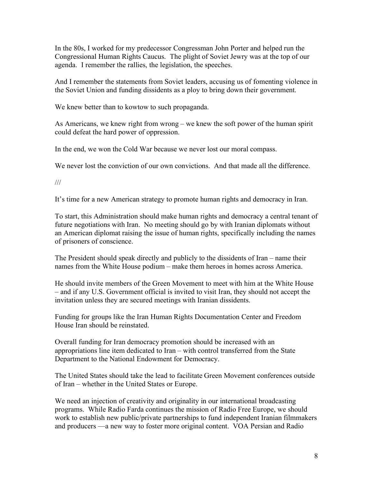In the 80s, I worked for my predecessor Congressman John Porter and helped run the Congressional Human Rights Caucus. The plight of Soviet Jewry was at the top of our agenda. I remember the rallies, the legislation, the speeches.

And I remember the statements from Soviet leaders, accusing us of fomenting violence in the Soviet Union and funding dissidents as a ploy to bring down their government.

We knew better than to kowtow to such propaganda.

As Americans, we knew right from wrong – we knew the soft power of the human spirit could defeat the hard power of oppression.

In the end, we won the Cold War because we never lost our moral compass.

We never lost the conviction of our own convictions. And that made all the difference.

///

It's time for a new American strategy to promote human rights and democracy in Iran.

To start, this Administration should make human rights and democracy a central tenant of future negotiations with Iran. No meeting should go by with Iranian diplomats without an American diplomat raising the issue of human rights, specifically including the names of prisoners of conscience.

The President should speak directly and publicly to the dissidents of Iran – name their names from the White House podium – make them heroes in homes across America.

He should invite members of the Green Movement to meet with him at the White House – and if any U.S. Government official is invited to visit Iran, they should not accept the invitation unless they are secured meetings with Iranian dissidents.

Funding for groups like the Iran Human Rights Documentation Center and Freedom House Iran should be reinstated.

Overall funding for Iran democracy promotion should be increased with an appropriations line item dedicated to Iran – with control transferred from the State Department to the National Endowment for Democracy.

The United States should take the lead to facilitate Green Movement conferences outside of Iran – whether in the United States or Europe.

We need an injection of creativity and originality in our international broadcasting programs. While Radio Farda continues the mission of Radio Free Europe, we should work to establish new public/private partnerships to fund independent Iranian filmmakers and producers —a new way to foster more original content. VOA Persian and Radio